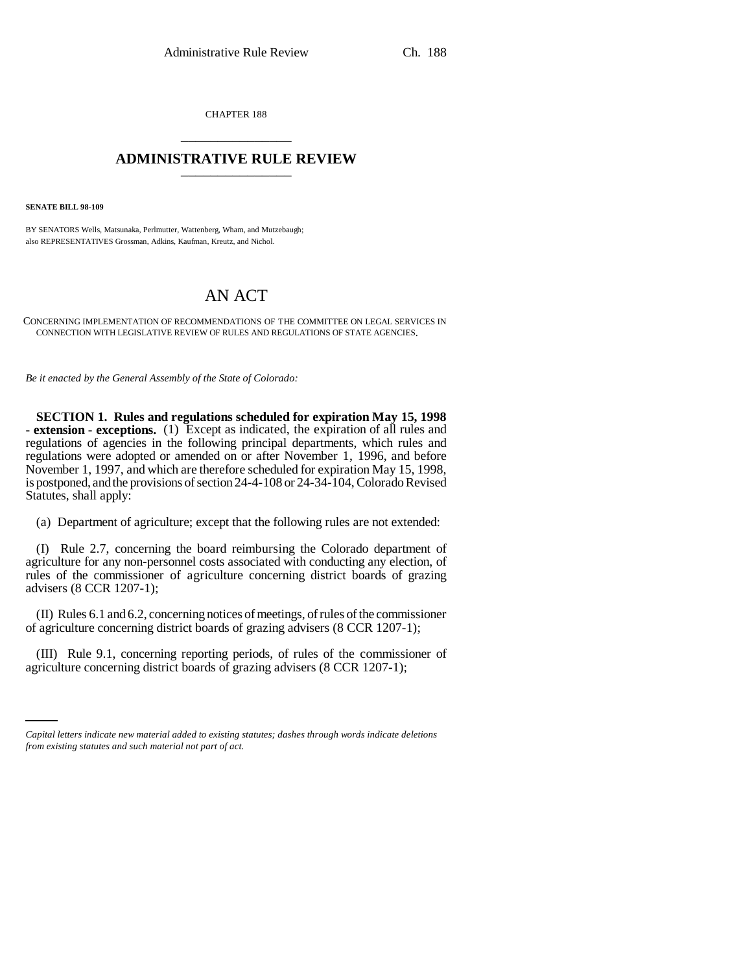CHAPTER 188 \_\_\_\_\_\_\_\_\_\_\_\_\_\_\_

## **ADMINISTRATIVE RULE REVIEW** \_\_\_\_\_\_\_\_\_\_\_\_\_\_\_

**SENATE BILL 98-109**

BY SENATORS Wells, Matsunaka, Perlmutter, Wattenberg, Wham, and Mutzebaugh; also REPRESENTATIVES Grossman, Adkins, Kaufman, Kreutz, and Nichol.

## AN ACT

CONCERNING IMPLEMENTATION OF RECOMMENDATIONS OF THE COMMITTEE ON LEGAL SERVICES IN CONNECTION WITH LEGISLATIVE REVIEW OF RULES AND REGULATIONS OF STATE AGENCIES.

*Be it enacted by the General Assembly of the State of Colorado:*

**SECTION 1. Rules and regulations scheduled for expiration May 15, 1998 - extension - exceptions.** (1) Except as indicated, the expiration of all rules and regulations of agencies in the following principal departments, which rules and regulations were adopted or amended on or after November 1, 1996, and before November 1, 1997, and which are therefore scheduled for expiration May 15, 1998, is postponed, and the provisions of section 24-4-108 or 24-34-104, Colorado Revised Statutes, shall apply:

(a) Department of agriculture; except that the following rules are not extended:

(I) Rule 2.7, concerning the board reimbursing the Colorado department of agriculture for any non-personnel costs associated with conducting any election, of rules of the commissioner of agriculture concerning district boards of grazing advisers (8 CCR 1207-1);

(II) Rules 6.1 and 6.2, concerning notices of meetings, of rules of the commissioner of agriculture concerning district boards of grazing advisers (8 CCR 1207-1);

(III) Rule 9.1, concerning reporting periods, of rules of the commissioner of agriculture concerning district boards of grazing advisers (8 CCR 1207-1);

*Capital letters indicate new material added to existing statutes; dashes through words indicate deletions from existing statutes and such material not part of act.*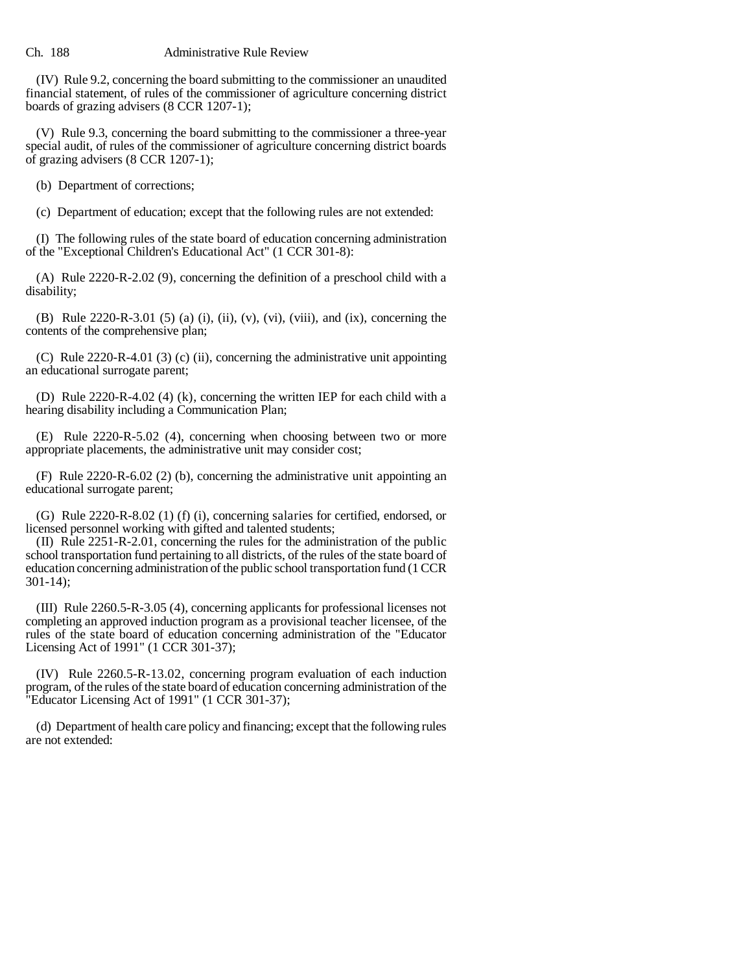## Ch. 188 Administrative Rule Review

(IV) Rule 9.2, concerning the board submitting to the commissioner an unaudited financial statement, of rules of the commissioner of agriculture concerning district boards of grazing advisers (8 CCR 1207-1);

(V) Rule 9.3, concerning the board submitting to the commissioner a three-year special audit, of rules of the commissioner of agriculture concerning district boards of grazing advisers (8 CCR 1207-1);

(b) Department of corrections;

(c) Department of education; except that the following rules are not extended:

(I) The following rules of the state board of education concerning administration of the "Exceptional Children's Educational Act" (1 CCR 301-8):

(A) Rule 2220-R-2.02 (9), concerning the definition of a preschool child with a disability;

(B) Rule 2220-R-3.01 (5) (a) (i), (ii), (v), (vi), (viii), and (ix), concerning the contents of the comprehensive plan;

(C) Rule 2220-R-4.01 (3) (c) (ii), concerning the administrative unit appointing an educational surrogate parent;

(D) Rule 2220-R-4.02 (4) (k), concerning the written IEP for each child with a hearing disability including a Communication Plan;

(E) Rule 2220-R-5.02 (4), concerning when choosing between two or more appropriate placements, the administrative unit may consider cost;

(F) Rule 2220-R-6.02 (2) (b), concerning the administrative unit appointing an educational surrogate parent;

(G) Rule 2220-R-8.02 (1) (f) (i), concerning salaries for certified, endorsed, or licensed personnel working with gifted and talented students;

(II) Rule 2251-R-2.01, concerning the rules for the administration of the public school transportation fund pertaining to all districts, of the rules of the state board of education concerning administration of the public school transportation fund (1 CCR 301-14);

(III) Rule 2260.5-R-3.05 (4), concerning applicants for professional licenses not completing an approved induction program as a provisional teacher licensee, of the rules of the state board of education concerning administration of the "Educator Licensing Act of 1991" (1 CCR 301-37);

(IV) Rule 2260.5-R-13.02, concerning program evaluation of each induction program, of the rules of the state board of education concerning administration of the "Educator Licensing Act of 1991" (1 CCR 301-37);

(d) Department of health care policy and financing; except that the following rules are not extended: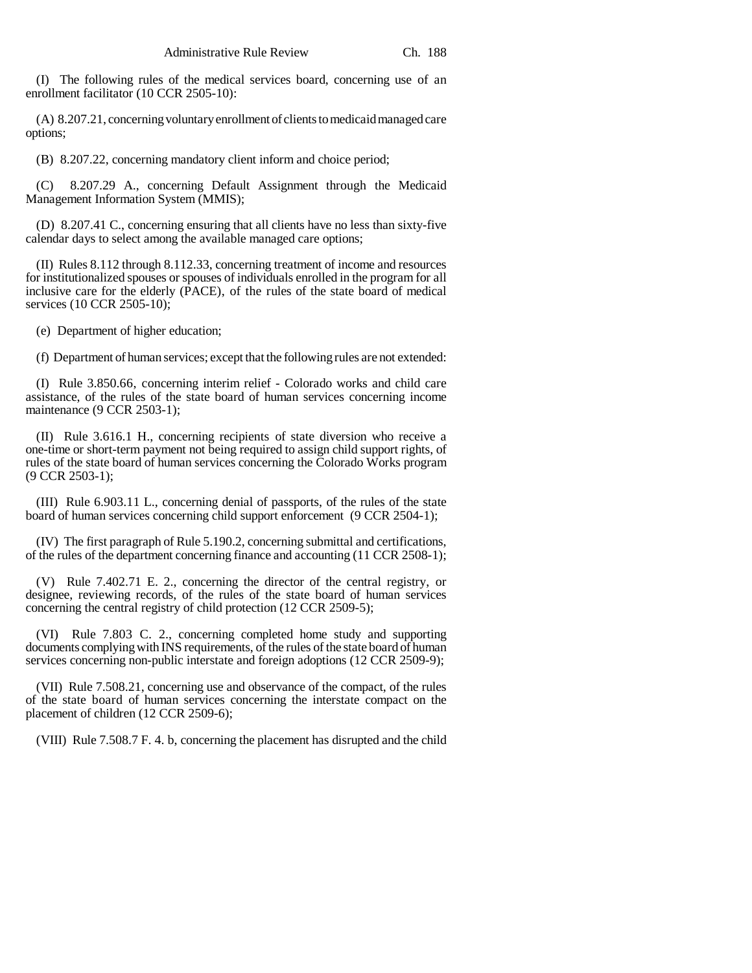(I) The following rules of the medical services board, concerning use of an enrollment facilitator (10 CCR 2505-10):

(A) 8.207.21, concerning voluntary enrollment of clients to medicaid managed care options;

(B) 8.207.22, concerning mandatory client inform and choice period;

(C) 8.207.29 A., concerning Default Assignment through the Medicaid Management Information System (MMIS);

(D) 8.207.41 C., concerning ensuring that all clients have no less than sixty-five calendar days to select among the available managed care options;

(II) Rules 8.112 through 8.112.33, concerning treatment of income and resources for institutionalized spouses or spouses of individuals enrolled in the program for all inclusive care for the elderly (PACE), of the rules of the state board of medical services (10 CCR 2505-10);

(e) Department of higher education;

(f) Department of human services; except that the following rules are not extended:

(I) Rule 3.850.66, concerning interim relief - Colorado works and child care assistance, of the rules of the state board of human services concerning income maintenance (9 CCR 2503-1);

(II) Rule 3.616.1 H., concerning recipients of state diversion who receive a one-time or short-term payment not being required to assign child support rights, of rules of the state board of human services concerning the Colorado Works program (9 CCR 2503-1);

(III) Rule 6.903.11 L., concerning denial of passports, of the rules of the state board of human services concerning child support enforcement (9 CCR 2504-1);

(IV) The first paragraph of Rule 5.190.2, concerning submittal and certifications, of the rules of the department concerning finance and accounting (11 CCR 2508-1);

(V) Rule 7.402.71 E. 2., concerning the director of the central registry, or designee, reviewing records, of the rules of the state board of human services concerning the central registry of child protection (12 CCR 2509-5);

(VI) Rule 7.803 C. 2., concerning completed home study and supporting documents complying with INS requirements, of the rules of the state board of human services concerning non-public interstate and foreign adoptions (12 CCR 2509-9);

(VII) Rule 7.508.21, concerning use and observance of the compact, of the rules of the state board of human services concerning the interstate compact on the placement of children (12 CCR 2509-6);

(VIII) Rule 7.508.7 F. 4. b, concerning the placement has disrupted and the child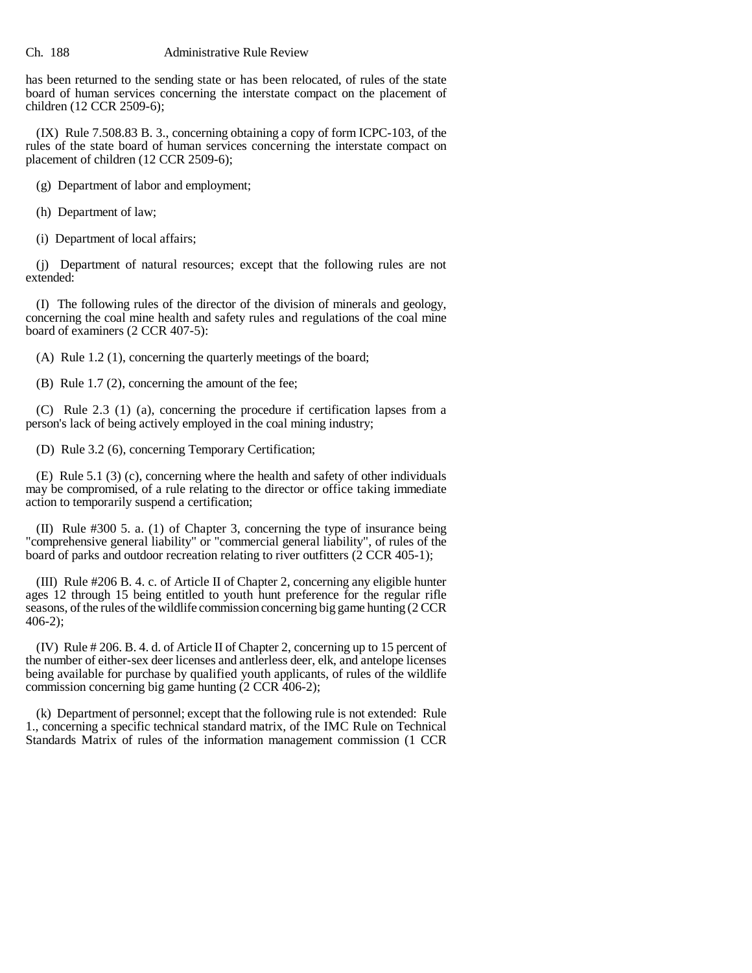## Ch. 188 Administrative Rule Review

has been returned to the sending state or has been relocated, of rules of the state board of human services concerning the interstate compact on the placement of children (12 CCR 2509-6);

(IX) Rule 7.508.83 B. 3., concerning obtaining a copy of form ICPC-103, of the rules of the state board of human services concerning the interstate compact on placement of children (12 CCR 2509-6);

(g) Department of labor and employment;

(h) Department of law;

(i) Department of local affairs;

(j) Department of natural resources; except that the following rules are not extended:

(I) The following rules of the director of the division of minerals and geology, concerning the coal mine health and safety rules and regulations of the coal mine board of examiners (2 CCR 407-5):

(A) Rule 1.2 (1), concerning the quarterly meetings of the board;

(B) Rule 1.7 (2), concerning the amount of the fee;

(C) Rule 2.3 (1) (a), concerning the procedure if certification lapses from a person's lack of being actively employed in the coal mining industry;

(D) Rule 3.2 (6), concerning Temporary Certification;

(E) Rule 5.1 (3) (c), concerning where the health and safety of other individuals may be compromised, of a rule relating to the director or office taking immediate action to temporarily suspend a certification;

(II) Rule #300 5. a. (1) of Chapter 3, concerning the type of insurance being "comprehensive general liability" or "commercial general liability", of rules of the board of parks and outdoor recreation relating to river outfitters (2 CCR 405-1);

(III) Rule #206 B. 4. c. of Article II of Chapter 2, concerning any eligible hunter ages 12 through 15 being entitled to youth hunt preference for the regular rifle seasons, of the rules of the wildlife commission concerning big game hunting (2 CCR 406-2);

(IV) Rule # 206. B. 4. d. of Article II of Chapter 2, concerning up to 15 percent of the number of either-sex deer licenses and antlerless deer, elk, and antelope licenses being available for purchase by qualified youth applicants, of rules of the wildlife commission concerning big game hunting (2 CCR 406-2);

(k) Department of personnel; except that the following rule is not extended: Rule 1., concerning a specific technical standard matrix, of the IMC Rule on Technical Standards Matrix of rules of the information management commission (1 CCR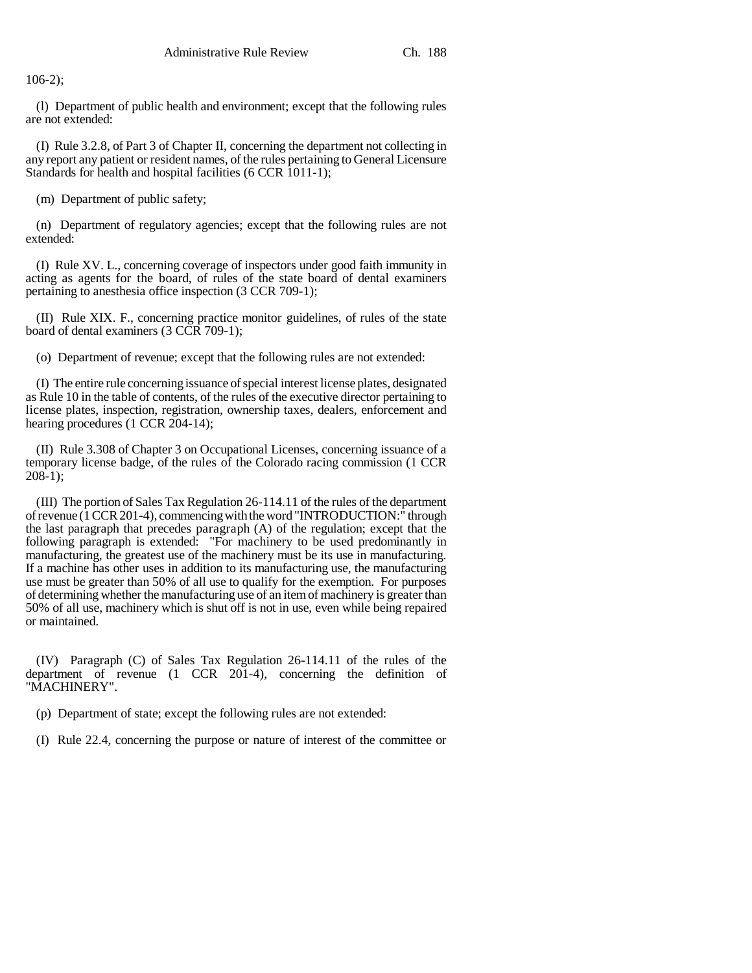106-2);

(l) Department of public health and environment; except that the following rules are not extended:

(I) Rule 3.2.8, of Part 3 of Chapter II, concerning the department not collecting in any report any patient or resident names, of the rules pertaining to General Licensure Standards for health and hospital facilities (6 CCR 1011-1);

(m) Department of public safety;

(n) Department of regulatory agencies; except that the following rules are not extended:

(I) Rule XV. L., concerning coverage of inspectors under good faith immunity in acting as agents for the board, of rules of the state board of dental examiners pertaining to anesthesia office inspection (3 CCR 709-1);

(II) Rule XIX. F., concerning practice monitor guidelines, of rules of the state board of dental examiners (3 CCR 709-1);

(o) Department of revenue; except that the following rules are not extended:

(I) The entire rule concerning issuance of special interest license plates, designated as Rule 10 in the table of contents, of the rules of the executive director pertaining to license plates, inspection, registration, ownership taxes, dealers, enforcement and hearing procedures (1 CCR 204-14);

(II) Rule 3.308 of Chapter 3 on Occupational Licenses, concerning issuance of a temporary license badge, of the rules of the Colorado racing commission (1 CCR  $208-1$ :

(III) The portion of Sales Tax Regulation 26-114.11 of the rules of the department of revenue (1 CCR 201-4), commencing with the word "INTRODUCTION:" through the last paragraph that precedes paragraph (A) of the regulation; except that the following paragraph is extended: "For machinery to be used predominantly in manufacturing, the greatest use of the machinery must be its use in manufacturing. If a machine has other uses in addition to its manufacturing use, the manufacturing use must be greater than 50% of all use to qualify for the exemption. For purposes of determining whether the manufacturing use of an item of machinery is greater than 50% of all use, machinery which is shut off is not in use, even while being repaired or maintained.

(IV) Paragraph (C) of Sales Tax Regulation 26-114.11 of the rules of the department of revenue (1 CCR 201-4), concerning the definition of "MACHINERY".

(p) Department of state; except the following rules are not extended:

(I) Rule 22.4, concerning the purpose or nature of interest of the committee or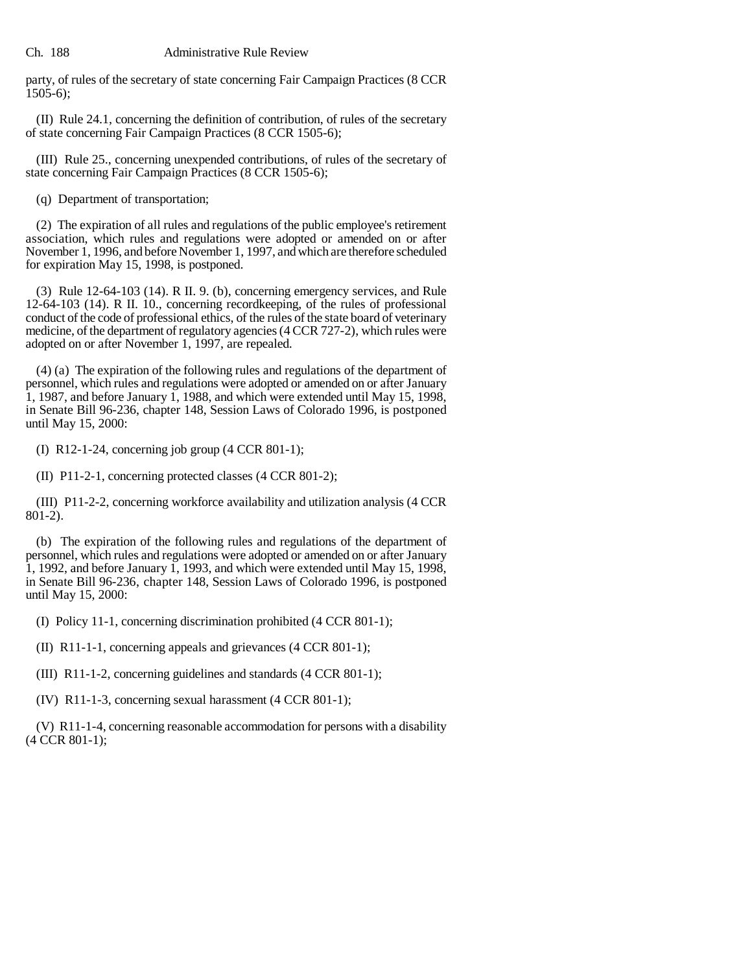Ch. 188 Administrative Rule Review

party, of rules of the secretary of state concerning Fair Campaign Practices (8 CCR  $1505-6$ ;

(II) Rule 24.1, concerning the definition of contribution, of rules of the secretary of state concerning Fair Campaign Practices (8 CCR 1505-6);

(III) Rule 25., concerning unexpended contributions, of rules of the secretary of state concerning Fair Campaign Practices (8 CCR 1505-6);

(q) Department of transportation;

(2) The expiration of all rules and regulations of the public employee's retirement association, which rules and regulations were adopted or amended on or after November 1, 1996, and before November 1, 1997, and which are therefore scheduled for expiration May 15, 1998, is postponed.

(3) Rule 12-64-103 (14). R II. 9. (b), concerning emergency services, and Rule 12-64-103 (14). R II. 10., concerning recordkeeping, of the rules of professional conduct of the code of professional ethics, of the rules of the state board of veterinary medicine, of the department of regulatory agencies (4 CCR 727-2), which rules were adopted on or after November 1, 1997, are repealed.

(4) (a) The expiration of the following rules and regulations of the department of personnel, which rules and regulations were adopted or amended on or after January 1, 1987, and before January 1, 1988, and which were extended until May 15, 1998, in Senate Bill 96-236, chapter 148, Session Laws of Colorado 1996, is postponed until May 15, 2000:

(I) R12-1-24, concerning job group (4 CCR 801-1);

(II) P11-2-1, concerning protected classes (4 CCR 801-2);

(III) P11-2-2, concerning workforce availability and utilization analysis (4 CCR 801-2).

(b) The expiration of the following rules and regulations of the department of personnel, which rules and regulations were adopted or amended on or after January  $1, 1992$ , and before January  $1, 1993$ , and which were extended until May 15, 1998, in Senate Bill 96-236, chapter 148, Session Laws of Colorado 1996, is postponed until May 15, 2000:

(I) Policy 11-1, concerning discrimination prohibited (4 CCR 801-1);

(II) R11-1-1, concerning appeals and grievances (4 CCR 801-1);

(III) R11-1-2, concerning guidelines and standards (4 CCR 801-1);

(IV) R11-1-3, concerning sexual harassment (4 CCR 801-1);

(V) R11-1-4, concerning reasonable accommodation for persons with a disability (4 CCR 801-1);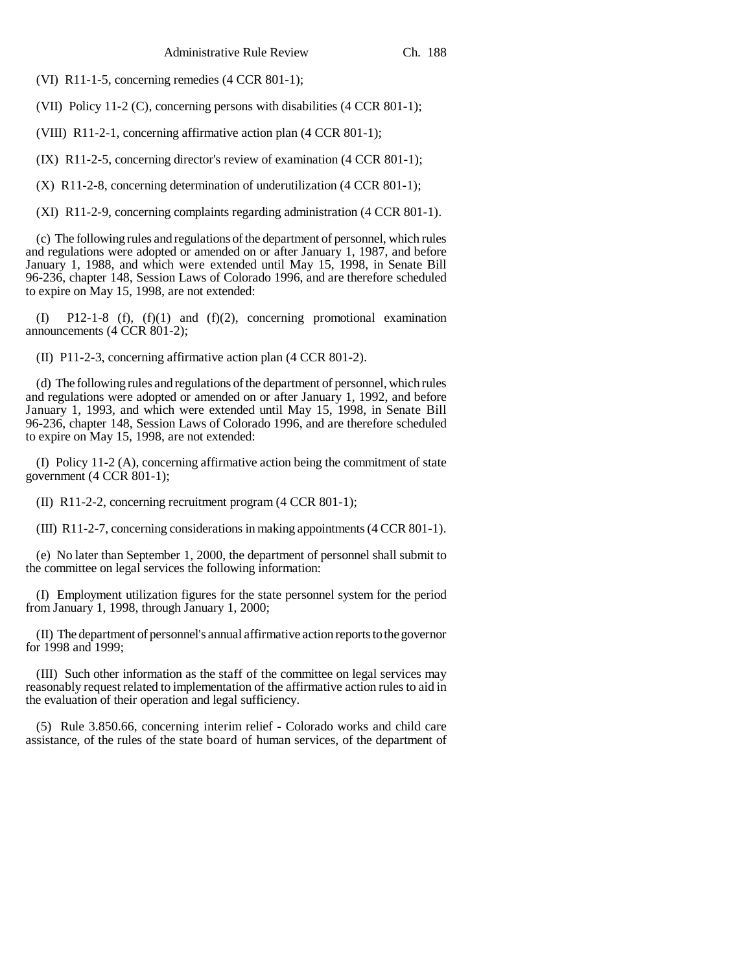(VI) R11-1-5, concerning remedies (4 CCR 801-1);

(VII) Policy 11-2 (C), concerning persons with disabilities (4 CCR 801-1);

(VIII) R11-2-1, concerning affirmative action plan (4 CCR 801-1);

(IX) R11-2-5, concerning director's review of examination (4 CCR 801-1);

(X) R11-2-8, concerning determination of underutilization (4 CCR 801-1);

(XI) R11-2-9, concerning complaints regarding administration (4 CCR 801-1).

(c) The following rules and regulations of the department of personnel, which rules and regulations were adopted or amended on or after January 1, 1987, and before January 1, 1988, and which were extended until May 15, 1998, in Senate Bill 96-236, chapter 148, Session Laws of Colorado 1996, and are therefore scheduled to expire on May 15, 1998, are not extended:

(I) P12-1-8 (f), (f)(1) and (f)(2), concerning promotional examination announcements (4 CCR 801-2);

(II) P11-2-3, concerning affirmative action plan (4 CCR 801-2).

(d) The following rules and regulations of the department of personnel, which rules and regulations were adopted or amended on or after January 1, 1992, and before January 1, 1993, and which were extended until May 15, 1998, in Senate Bill 96-236, chapter 148, Session Laws of Colorado 1996, and are therefore scheduled to expire on May 15, 1998, are not extended:

(I) Policy 11-2 (A), concerning affirmative action being the commitment of state government (4 CCR 801-1);

(II) R11-2-2, concerning recruitment program (4 CCR 801-1);

(III) R11-2-7, concerning considerations in making appointments (4 CCR 801-1).

(e) No later than September 1, 2000, the department of personnel shall submit to the committee on legal services the following information:

(I) Employment utilization figures for the state personnel system for the period from January 1, 1998, through January 1, 2000;

(II) The department of personnel's annual affirmative action reports to the governor for 1998 and 1999;

(III) Such other information as the staff of the committee on legal services may reasonably request related to implementation of the affirmative action rules to aid in the evaluation of their operation and legal sufficiency.

(5) Rule 3.850.66, concerning interim relief - Colorado works and child care assistance, of the rules of the state board of human services, of the department of